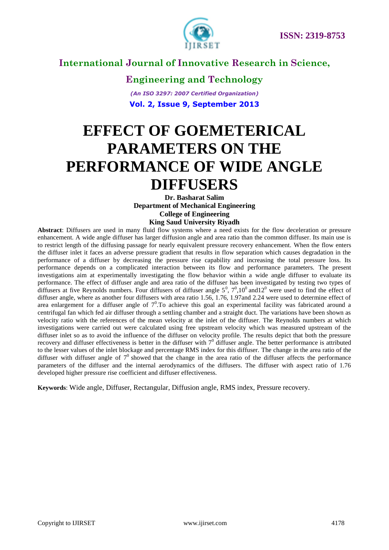

**Engineering and Technology** *(An ISO 3297: 2007 Certified Organization)* **Vol. 2, Issue 9, September 2013**

# **EFFECT OF GOEMETERICAL PARAMETERS ON THE PERFORMANCE OF WIDE ANGLE DIFFUSERS**

**Dr. Basharat Salim Department of Mechanical Engineering College of Engineering King Saud University Riyadh**

**Abstract**: Diffusers are used in many fluid flow systems where a need exists for the flow deceleration or pressure enhancement. A wide angle diffuser has larger diffusion angle and area ratio than the common diffuser. Its main use is to restrict length of the diffusing passage for nearly equivalent pressure recovery enhancement. When the flow enters the diffuser inlet it faces an adverse pressure gradient that results in flow separation which causes degradation in the performance of a diffuser by decreasing the pressure rise capability and increasing the total pressure loss. Its performance depends on a complicated interaction between its flow and performance parameters. The present investigations aim at experimentally investigating the flow behavior within a wide angle diffuser to evaluate its performance. The effect of diffuser angle and area ratio of the diffuser has been investigated by testing two types of diffusers at five Reynolds numbers. Four diffusers of diffuser angle  $5^0$ ,  $7^0$ ,  $10^0$  and  $12^0$  were used to find the effect of diffuser angle, where as another four diffusers with area ratio 1.56, 1.76, 1.97and 2.24 were used to determine effect of area enlargement for a diffuser angle of  $7^0$ . To achieve this goal an experimental facility was fabricated around a centrifugal fan which fed air diffuser through a settling chamber and a straight duct. The variations have been shown as velocity ratio with the references of the mean velocity at the inlet of the diffuser. The Reynolds numbers at which investigations were carried out were calculated using free upstream velocity which was measured upstream of the diffuser inlet so as to avoid the influence of the diffuser on velocity profile. The results depict that both the pressure recovery and diffuser effectiveness is better in the diffuser with  $7^0$  diffuser angle. The better performance is attributed to the lesser values of the inlet blockage and percentage RMS index for this diffuser. The change in the area ratio of the diffuser with diffuser angle of  $7^0$  showed that the change in the area ratio of the diffuser affects the performance parameters of the diffuser and the internal aerodynamics of the diffusers. The diffuser with aspect ratio of 1.76 developed higher pressure rise coefficient and diffuser effectiveness.

**Keywords**: Wide angle, Diffuser, Rectangular, Diffusion angle, RMS index, Pressure recovery.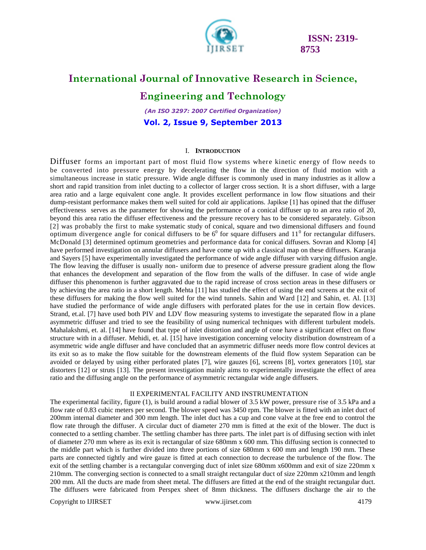

## **International Journal of Innovative Research in Science,**

**Engineering and Technology**

*(An ISO 3297: 2007 Certified Organization)* **Vol. 2, Issue 9, September 2013**

#### I. **INTRODUCTION**

Diffuser forms an important part of most fluid flow systems wher e kinetic energy of flow needs to be converted into pressure energy by decelerating the flow in the direction of fluid motion with a simultaneous increase in static pressure. Wide angle diffuser is commonly used in many industries as it allow a short and rapid transition from inlet ducting to a collector of larger cross section. It is a short diffuser, with a large area ratio and a large equivalent cone angle. It provides excellent performance in low flow situations and their dump-resistant performance makes them well suited for cold air applications. Japikse [1] has opined that the diffuser effectiveness serves as the parameter for showing the performance of a conical diffuser up to an area ratio of 20, beyond this area ratio the diffuser effectiveness and the pressure recovery has to be considered separately. Gibson [2] was probably the first to make systematic study of conical, square and two dimensional diffusers and found optimum divergence angle for conical diffusers to be  $6^0$  for square diffusers and  $11^0$  for rectangular diffusers. McDonald [3] determined optimum geometries and performance data for conical diffusers. Sovran and Klomp [4] have performed investigation on annular diffusers and have come up with a classical map on these diffusers. Karanja and Sayers [5] have experimentally investigated the performance of wide angle diffuser with varying diffusion angle. The flow leaving the diffuser is usually non- uniform due to presence of adverse pressure gradient along the flow that enhances the development and separation of the flow from the walls of the diffuser. In case of wide angle diffuser this phenomenon is further aggravated due to the rapid increase of cross section areas in these diffusers or by achieving the area ratio in a short length. Mehta [11] has studied the effect of using the end screens at the exit of these diffusers for making the flow well suited for the wind tunnels. Sahin and Ward [12] and Sahin, et. Al. [13] have studied the performance of wide angle diffusers with perforated plates for the use in certain flow devices. Strand, et.al. [7] have used both PIV and LDV flow measuring systems to investigate the separated flow in a plane asymmetric diffuser and tried to see the feasibility of using numerical techniques with different turbulent models. Mahalakshmi, et. al. [14] have found that type of inlet distortion and angle of cone have a significant effect on flow structure with in a diffuser. Mehidi, et. al. [15] have investigation concerning velocity distribution downstream of a asymmetric wide angle diffuser and have concluded that an asymmetric diffuser needs more flow control devices at its exit so as to make the flow suitable for the downstream elements of the fluid flow system Separation can be avoided or delayed by using either perforated plates [7], wire gauzes [6], screens [8], vortex generators [10], star distorters [12] or struts [13]. The present investigation mainly aims to experimentally investigate the effect of area ratio and the diffusing angle on the performance of asymmetric rectangular wide angle diffusers.

#### II EXPERIMENTAL FACILITY AND INSTRUMENTATION

The experimental facility, figure (1), is build around a radial blower of 3.5 kW power, pressure rise of 3.5 kPa and a flow rate of 0.83 cubic meters per second. The blower speed was 3450 rpm. The blower is fitted with an inlet duct of 200mm internal diameter and 300 mm length. The inlet duct has a cup and cone valve at the free end to control the flow rate through the diffuser. A circular duct of diameter 270 mm is fitted at the exit of the blower. The duct is connected to a settling chamber. The settling chamber has three parts. The inlet part is of diffusing section with inlet of diameter 270 mm where as its exit is rectangular of size 680mm x 600 mm. This diffusing section is connected to the middle part which is further divided into three portions of size 680mm x 600 mm and length 190 mm. These parts are connected tightly and wire gauze is fitted at each connection to decrease the turbulence of the flow. The exit of the settling chamber is a rectangular converging duct of inlet size 680mm x600mm and exit of size 220mm x 210mm. The converging section is connected to a small straight rectangular duct of size 220mm x210mm and length 200 mm. All the ducts are made from sheet metal. The diffusers are fitted at the end of the straight rectangular duct. The diffusers were fabricated from Perspex sheet of 8mm thickness. The diffusers discharge the air to the

Copyright to IJIRSET [www.ijirset.com](http://www.ijirset.com/) 4179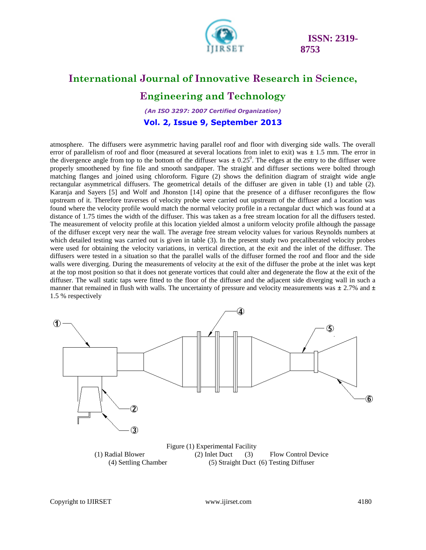

## **International Journal of Innovative Research in Science, Engineering and Technology**

*(An ISO 3297: 2007 Certified Organization)*

**Vol. 2, Issue 9, September 2013**

atmosphere. The diffusers were asymmetric having parallel roof and floor with diverging side walls. The overall error of parallelism of roof and floor (measured at several locations from inlet to exit) was **±** 1.5 mm. The error in the divergence angle from top to the bottom of the diffuser was  $\pm 0.25^\circ$ . The edges at the entry to the diffuser were properly smoothened by fine file and smooth sandpaper. The straight and diffuser sections were bolted through matching flanges and joined using chloroform. Figure (2) shows the definition diagram of straight wide angle rectangular asymmetrical diffusers. The geometrical details of the diffuser are given in table (1) and table (2). Karanja and Sayers [5] and Wolf and Jhonston [14] opine that the presence of a diffuser reconfigures the flow upstream of it. Therefore traverses of velocity probe were carried out upstream of the diffuser and a location was found where the velocity profile would match the normal velocity profile in a rectangular duct which was found at a distance of 1.75 times the width of the diffuser. This was taken as a free stream location for all the diffusers tested. The measurement of velocity profile at this location yielded almost a uniform velocity profile although the passage of the diffuser except very near the wall. The average free stream velocity values for various Reynolds numbers at which detailed testing was carried out is given in table (3). In the present study two precaliberated velocity probes were used for obtaining the velocity variations, in vertical direction, at the exit and the inlet of the diffuser. The diffusers were tested in a situation so that the parallel walls of the diffuser formed the roof and floor and the side walls were diverging. During the measurements of velocity at the exit of the diffuser the probe at the inlet was kept at the top most position so that it does not generate vortices that could alter and degenerate the flow at the exit of the diffuser. The wall static taps were fitted to the floor of the diffuser and the adjacent side diverging wall in such a manner that remained in flush with walls. The uncertainty of pressure and velocity measurements was **±** 2.7% and **±**  1.5 % respectively

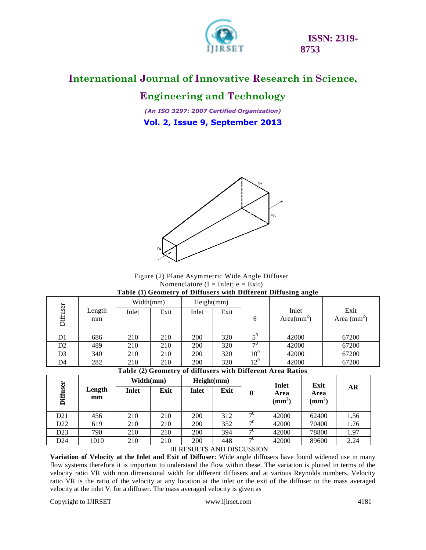

#### **International Journal of Innovative Research in Science,**

## **Engineering and Technology**

*(An ISO 3297: 2007 Certified Organization)* **Vol. 2, Issue 9, September 2013**



Figure (2) Plane Asymmetric Wide Angle Diffuser Nomenclature ( $I = Inlet$ ;  $e = Exit$ ) **Table (1) Geometry of Diffusers with Different Diffusing angle**

|                                                  |        | Width(mm) |      | Height(mm) |      |                            |                        |                      |
|--------------------------------------------------|--------|-----------|------|------------|------|----------------------------|------------------------|----------------------|
| Diffuser                                         | Length | Inlet     | Exit | Inlet      | Exit |                            | Inlet                  | Exit                 |
|                                                  | mm     |           |      |            |      | $\theta$                   | Area(mm <sup>2</sup> ) | Area $\text{(mm}^2)$ |
|                                                  |        |           |      |            |      |                            |                        |                      |
| D1                                               | 686    | 210       | 210  | <b>200</b> | 320  | $\mathcal{L}^{\mathrm{U}}$ | 42000                  | 67200                |
| D <sub>2</sub>                                   | 489    | 210       | 210  | 200        | 320  | $\neg$ <sup>()</sup>       | 42000                  | 67200                |
| D3                                               | 340    | 210       | 210  | 200        | 320  | $10^{\circ}$               | 42000                  | 67200                |
| D4                                               | 282    | 210       | 210  | 200        | 320  | $12^{\circ}$               | 42000                  | 67200                |
| $\sim$ $\sim$ $\sim$<br>--------<br><br>- -<br>. |        |           |      |            |      |                            |                        |                      |

**Table (2) Geometry of diffusers with Different Area Ratios**

|                 |              | Width(mm) |      | Height(mm)   |      |          | Inlet                     | Exit                      |      |
|-----------------|--------------|-----------|------|--------------|------|----------|---------------------------|---------------------------|------|
| user<br>Diff    | Length<br>mm | Inlet     | Exit | <b>Inlet</b> | Exit | θ        | Area<br>$(\mathbf{mm}^2)$ | Area<br>$(\mathbf{mm}^2)$ | AR   |
| D21             | 456          | 210       | 210  | 200          | 312  | $\neg 0$ | 42000                     | 62400                     | 1.56 |
| D <sub>22</sub> | 619          | 210       | 210  | 200          | 352  | $\neg 0$ | 42000                     | 70400                     | 1.76 |
| D23             | 790          | 210       | 210  | 200          | 394  | $\neg 0$ | 42000                     | 78800                     | 1.97 |
| D24             | 1010         | 210       | 210  | 200          | 448  | $\neg 0$ | 42000                     | 89600                     | 2.24 |

#### III RESULTS AND DISCUSSION

**Variation of Velocity at the Inlet and Exit of Diffuser**: Wide angle diffusers have found widened use in many flow systems therefore it is important to understand the flow within these. The variation is plotted in terms of the velocity ratio VR with non dimensional width for different diffusers and at various Reynolds numbers. Velocity ratio VR is the ratio of the velocity at any location at the inlet or the exit of the diffuser to the mass averaged velocity at the inlet  $V_i$  for a diffuser. The mass averaged velocity is given as

Copyright to IJIRSET [www.ijirset.com](http://www.ijirset.com/) 4181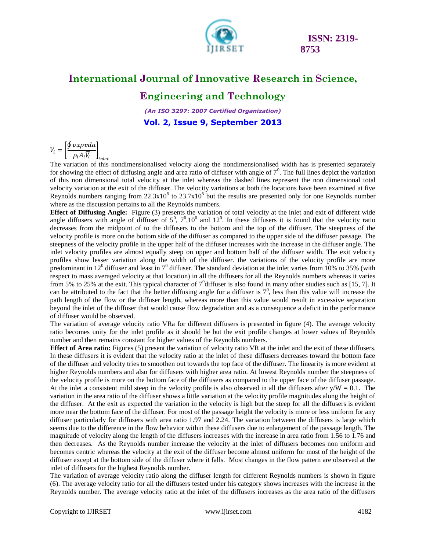

# **International Journal of Innovative Research in Science,**

### **Engineering and Technology**

*(An ISO 3297: 2007 Certified Organization)* **Vol. 2, Issue 9, September 2013**

$$
V_i = \left[\frac{\oint vx \rho v d\alpha}{\rho_i A_i \overline{V_i}}\right]_{inle}
$$

The variation of this nondimensionalised velocity along the nondimensionalised width has is presented separately for showing the effect of diffusing angle and area ratio of diffuser with angle of  $7<sup>0</sup>$ . The full lines depict the variation of this non dimensional total velocity at the inlet whereas the dashed lines represent the non dimensional total velocity variation at the exit of the diffuser. The velocity variations at both the locations have been examined at five Reynolds numbers ranging from  $22.3x10^5$  to  $23.7x10^5$  but the results are presented only for one Reynolds number where as the discussion pertains to all the Reynolds numbers.

**Effect of Diffusing Angle:** Figure (3) presents the variation of total velocity at the inlet and exit of different wide angle diffusers with angle of diffuser of  $5^0$ ,  $7^0$ ,  $10^0$  and  $12^0$ . In these diffusers it is found that the velocity ratio decreases from the midpoint of to the diffusers to the bottom and the top of the diffuser. The steepness of the velocity profile is more on the bottom side of the diffuser as compared to the upper side of the diffuser passage. The steepness of the velocity profile in the upper half of the diffuser increases with the increase in the diffuser angle. The inlet velocity profiles are almost equally steep on upper and bottom half of the diffuser width. The exit velocity profiles show lesser variation along the width of the diffuser. the variations of the velocity profile are more predominant in 12<sup>0</sup> diffuser and least in  $7^0$  diffuser. The standard deviation at the inlet varies from 10% to 35% (with respect to mass averaged velocity at that location) in all the diffusers for all the Reynolds numbers whereas it varies from 5% to 25% at the exit. This typical character of  $7^0$ diffuser is also found in many other studies such as [15, 7]. It can be attributed to the fact that the better diffusing angle for a diffuser is  $7^0$ , less than this value will increase the path length of the flow or the diffuser length, whereas more than this value would result in excessive separation beyond the inlet of the diffuser that would cause flow degradation and as a consequence a deficit in the performance of diffuser would be observed.

The variation of average velocity ratio VRa for different diffusers is presented in figure (4). The average velocity ratio becomes unity for the inlet profile as it should be but the exit profile changes at lower values of Reynolds number and then remains constant for higher values of the Reynolds numbers.

**Effect of Area ratio:** Figures (5) present the variation of velocity ratio VR at the inlet and the exit of these diffusers. In these diffusers it is evident that the velocity ratio at the inlet of these diffusers decreases toward the bottom face of the diffuser and velocity tries to smoothen out towards the top face of the diffuser. The linearity is more evident at higher Reynolds numbers and also for diffusers with higher area ratio. At lowest Reynolds number the steepness of the velocity profile is more on the bottom face of the diffusers as compared to the upper face of the diffuser passage. At the inlet a consistent mild steep in the velocity profile is also observed in all the diffusers after  $y/W = 0.1$ . The variation in the area ratio of the diffuser shows a little variation at the velocity profile magnitudes along the height of the diffuser. At the exit as expected the variation in the velocity is high but the steep for all the diffusers is evident more near the bottom face of the diffuser. For most of the passage height the velocity is more or less uniform for any diffuser particularly for diffusers with area ratio 1.97 and 2.24. The variation between the diffusers is large which seems due to the difference in the flow behavior within these diffusers due to enlargement of the passage length. The magnitude of velocity along the length of the diffusers increases with the increase in area ratio from 1.56 to 1.76 and then decreases. As the Reynolds number increase the velocity at the inlet of diffusers becomes non uniform and becomes centric whereas the velocity at the exit of the diffuser become almost uniform for most of the height of the diffuser except at the bottom side of the diffuser where it falls. Most changes in the flow pattern are observed at the inlet of diffusers for the highest Reynolds number.

The variation of average velocity ratio along the diffuser length for different Reynolds numbers is shown in figure (6). The average velocity ratio for all the diffusers tested under his category shows increases with the increase in the Reynolds number. The average velocity ratio at the inlet of the diffusers increases as the area ratio of the diffusers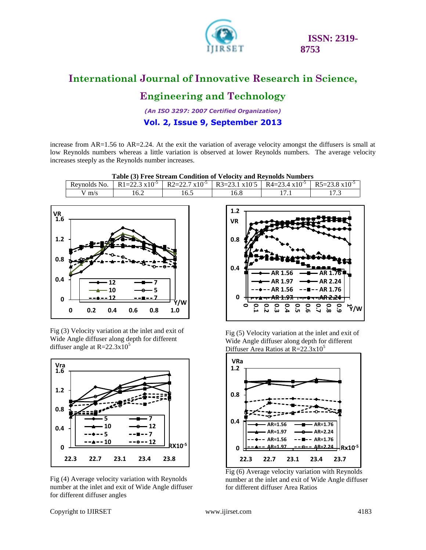

## **International Journal of Innovative Research in Science,**

## **Engineering and Technology**

*(An ISO 3297: 2007 Certified Organization)*

#### **Vol. 2, Issue 9, September 2013**

increase from AR=1.56 to AR=2.24. At the exit the variation of average velocity amongst the diffusers is small at low Reynolds numbers whereas a little variation is observed at lower Reynolds numbers. The average velocity increases steeply as the Reynolds number increases.

| Table (3) Free Stream Condition of Velocity and Reynolds Numbers |      |                                                                                                                                                          |      |  |  |  |  |  |
|------------------------------------------------------------------|------|----------------------------------------------------------------------------------------------------------------------------------------------------------|------|--|--|--|--|--|
|                                                                  |      | Reynolds No.   R1=22.3 x10 <sup>-5</sup>   R2=22.7 x10 <sup>-5</sup>   R3=23.1 x10 <sup>-5</sup>   R4=23.4 x10 <sup>-5</sup>   R5=23.8 x10 <sup>-5</sup> |      |  |  |  |  |  |
| $V$ m/s                                                          | 16.2 | 16.5                                                                                                                                                     | 16.8 |  |  |  |  |  |



Fig (3) Velocity variation at the inlet and exit of Wide Angle diffuser along depth for different diffuser angle at  $R = 22.3 \times 10^5$ 



Fig (4) Average velocity variation with Reynolds number at the inlet and exit of Wide Angle diffuser for different diffuser angles



Fig (5) Velocity variation at the inlet and exit of Wide Angle diffuser along depth for different Diffuser Area Ratios at  $R = 22.3 \times 10^5$ 



Fig (6) Average velocity variation with Reynolds number at the inlet and exit of Wide Angle diffuser for different diffuser Area Ratios

Copyright to IJIRSET [www.ijirset.com](http://www.ijirset.com/) 4183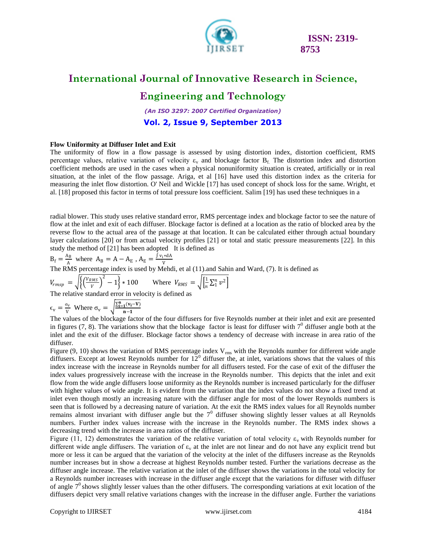

## **International Journal of Innovative Research in Science,**

#### **Engineering and Technology**

*(An ISO 3297: 2007 Certified Organization)*

**Vol. 2, Issue 9, September 2013**

#### **Flow Uniformity at Diffuser Inlet and Exit**

The uniformity of flow in a flow passage is assessed by using distortion index, distortion coefficient, RMS percentage values, relative variation of velocity  $\varepsilon_v$  and blockage factor  $B_f$ . The distortion index and distortion coefficient methods are used in the cases when a physical nonuniformity situation is created, artificially or in real situation, at the inlet of the flow passage. Ariga, et al [16] have used this distortion index as the criteria for measuring the inlet flow distortion. O' Neil and Wickle [17] has used concept of shock loss for the same. Wright, et al. [18] proposed this factor in terms of total pressure loss coefficient. Salim [19] has used these techniques in a

radial blower. This study uses relative standard error, RMS percentage index and blockage factor to see the nature of flow at the inlet and exit of each diffuser. Blockage factor is defined at a location as the ratio of blocked area by the reverse flow to the actual area of the passage at that location. It can be calculated either through actual boundary layer calculations [20] or from actual velocity profiles [21] or total and static pressure measurements [22]. In this study the method of [21] has been adopted It is defined as

$$
B_f = \frac{A_B}{A}
$$
 where  $A_B = A - A_E$ ,  $A_E = \frac{\int v_i * dA}{V}$ 

The RMS percentage index is used by Mehdi, et al (11).and Sahin and Ward, (7). It is defined as

$$
V_{rmsp} = \sqrt{\left\{ \left( \frac{V_{RMS}}{V} \right)^2 - 1 \right\}} * 100 \quad \text{Where } V_{RMS} = \sqrt{\left[ \frac{1}{n} \sum_{1}^{n} v^2 \right]}
$$

The relative standard error in velocity is defined as

$$
\epsilon_{\rm v} = \frac{\sigma_{\rm v}}{\rm v} \text{ Where } \sigma_{\rm v} = \sqrt{\frac{\sum_{i=1}^{n} (v_i - V)}{n-1}}
$$

The values of the blockage factor of the four diffusers for five Reynolds number at their inlet and exit are presented in figures (7, 8). The variations show that the blockage factor is least for diffuser with  $7^0$  diffuser angle both at the inlet and the exit of the diffuser. Blockage factor shows a tendency of decrease with increase in area ratio of the diffuser.

Figure  $(9, 10)$  shows the variation of RMS percentage index  $V_{rms}$  with the Reynolds number for different wide angle diffusers. Except at lowest Reynolds number for  $12^0$  diffuser the, at inlet, variations shows that the values of this index increase with the increase in Reynolds number for all diffusers tested. For the case of exit of the diffuser the index values progressively increase with the increase in the Reynolds number. This depicts that the inlet and exit flow from the wide angle diffusers loose uniformity as the Reynolds number is increased particularly for the diffuser with higher values of wide angle. It is evident from the variation that the index values do not show a fixed trend at inlet even though mostly an increasing nature with the diffuser angle for most of the lower Reynolds numbers is seen that is followed by a decreasing nature of variation. At the exit the RMS index values for all Reynolds number remains almost invariant with diffuser angle but the  $7<sup>0</sup>$  diffuser showing slightly lesser values at all Reynolds numbers. Further index values increase with the increase in the Reynolds number. The RMS index shows a decreasing trend with the increase in area ratios of the diffuser.

Figure (11, 12) demonstrates the variation of the relative variation of total velocity  $\varepsilon$ <sub>y</sub> with Reynolds number for different wide angle diffusers. The variation of  $\varepsilon<sub>y</sub>$  at the inlet are not linear and do not have any explicit trend but more or less it can be argued that the variation of the velocity at the inlet of the diffusers increase as the Reynolds number increases but in show a decrease at highest Reynolds number tested. Further the variations decrease as the diffuser angle increase. The relative variation at the inlet of the diffuser shows the variations in the total velocity for a Reynolds number increases with increase in the diffuser angle except that the variations for diffuser with diffuser of angle  $7<sup>0</sup>$  shows slightly lesser values than the other diffusers. The corresponding variations at exit location of the diffusers depict very small relative variations changes with the increase in the diffuser angle. Further the variations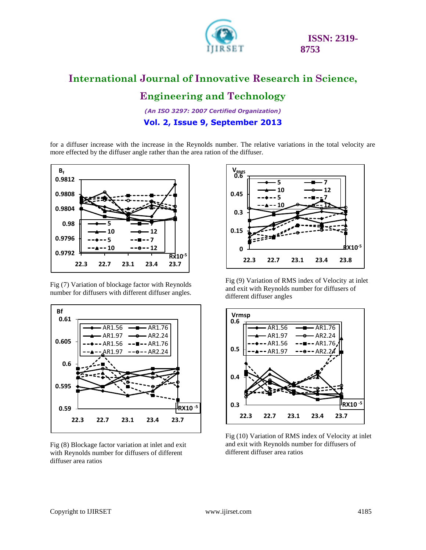

## **International Journal of Innovative Research in Science, Engineering and Technology**

*(An ISO 3297: 2007 Certified Organization)*

#### **Vol. 2, Issue 9, September 2013**

for a diffuser increase with the increase in the Reynolds number. The relative variations in the total velocity are more effected by the diffuser angle rather than the area ration of the diffuser.



Fig (7) Variation of blockage factor with Reynolds number for diffusers with different diffuser angles.



Fig (8) Blockage factor variation at inlet and exit with Reynolds number for diffusers of different diffuser area ratios



Fig (9) Variation of RMS index of Velocity at inlet and exit with Reynolds number for diffusers of different diffuser angles



Fig (10) Variation of RMS index of Velocity at inlet and exit with Reynolds number for diffusers of different diffuser area ratios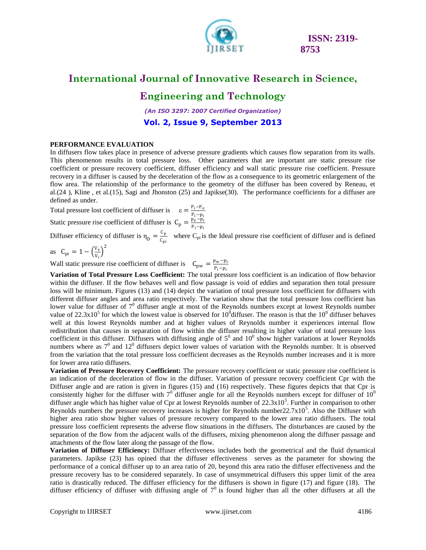

### **International Journal of Innovative Research in Science,**

### **Engineering and Technology**

*(An ISO 3297: 2007 Certified Organization)*

**Vol. 2, Issue 9, September 2013**

#### **PERFORMANCE EVALUATION**

In diffusers flow takes place in presence of adverse pressure gradients which causes flow separation from its walls. This phenomenon results in total pressure loss. Other parameters that are important are static pressure rise coefficient or pressure recovery coefficient, diffuser efficiency and wall static pressure rise coefficient. Pressure recovery in a diffuser is caused by the deceleration of the flow as a consequence to its geometric enlargement of the flow area. The relationship of the performance to the geometry of the diffuser has been covered by Reneau, et al.(24 ), Kline , et al.(15), Sagi and Jhonston (25) and Japikse(30). The performance coefficients for a diffuser are defined as under.

Total pressure lost coefficient of diffuser is  $\varepsilon = \frac{P_i - P_e}{P_i - P_e}$ Pi−pi Static pressure rise coefficient of diffuser is  $C_p = \frac{p_e - p_i}{p_i - p_i}$ 

Pi−pi

Diffuser efficiency of diffuser is  $\eta_D = \frac{C_p}{C_{\text{min}}}$  $\frac{C_p}{C_{pi}}$  where  $C_{pi}$  is the Ideal pressure rise coefficient of diffuser and is defined

as  $C_{\text{pi}} = 1 - \left(\frac{V_e}{V_e}\right)^2$ Vi

Wall static pressure rise coefficient of diffuser is  $C_{\text{pw}} = \frac{p_w - p_i}{p_i - p_i}$ Pi−pi

**Variation of Total Pressure Loss Coefficient:** The total pressure loss coefficient is an indication of flow behavior within the diffuser. If the flow behaves well and flow passage is void of eddies and separation then total pressure loss will be minimum. Figures (13) and (14) depict the variation of total pressure loss coefficient for diffusers with different diffuser angles and area ratio respectively. The variation show that the total pressure loss coefficient has lower value for diffuser of  $7^0$  diffuser angle at most of the Reynolds numbers except at lowest Reynolds number value of  $22.3x10^5$  for which the lowest value is observed for 10<sup>0</sup> diffuser. The reason is that the 10<sup>0</sup> diffuser behaves well at this lowest Reynolds number and at higher values of Reynolds number it experiences internal flow redistribution that causes in separation of flow within the diffuser resulting in higher value of total pressure loss coefficient in this diffuser. Diffusers with diffusing angle of  $5^0$  and  $10^0$  show higher variations at lower Reynolds numbers where as  $7^0$  and  $12^0$  diffusers depict lower values of variation with the Reynolds number. It is observed from the variation that the total pressure loss coefficient decreases as the Reynolds number increases and it is more for lower area ratio diffusers.

**Variation of Pressure Recovery Coefficient:** The pressure recovery coefficient or static pressure rise coefficient is an indication of the deceleration of flow in the diffuser. Variation of pressure recovery coefficient Cpr with the Diffuser angle and are ration is given in figures (15) and (16) respectively. These figures depicts that that Cpr is consistently higher for the diffuser with  $7^0$  diffuser angle for all the Reynolds numbers except for diffuser of  $10^0$ diffuser angle which has higher value of Cpr at lowest Reynolds number of  $22.3 \times 10^5$ . Further in comparison to other Reynolds numbers the pressure recovery increases is higher for Reynolds number  $22.7 \times 10^5$ . Also the Diffuser with higher area ratio show higher values of pressure recovery compared to the lower area ratio diffusers. The total pressure loss coefficient represents the adverse flow situations in the diffusers. The disturbances are caused by the separation of the flow from the adjacent walls of the diffusers, mixing phenomenon along the diffuser passage and attachments of the flow later along the passage of the flow.

**Variation of Diffuser Efficiency:** Diffuser effectiveness includes both the geometrical and the fluid dynamical parameters. Japikse (23) has opined that the diffuser effectiveness serves as the parameter for showing the performance of a conical diffuser up to an area ratio of 20, beyond this area ratio the diffuser effectiveness and the pressure recovery has to be considered separately. In case of unsymmetrical diffusers this upper limit of the area ratio is drastically reduced. The diffuser efficiency for the diffusers is shown in figure (17) and figure (18). The diffuser efficiency of diffuser with diffusing angle of  $7<sup>0</sup>$  is found higher than all the other diffusers at all the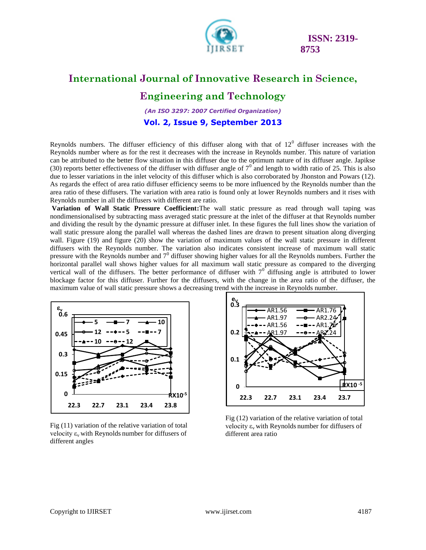

## **International Journal of Innovative Research in Science,**

**Engineering and Technology**

*(An ISO 3297: 2007 Certified Organization)*

**Vol. 2, Issue 9, September 2013**

Reynolds numbers. The diffuser efficiency of this diffuser along with that of  $12<sup>0</sup>$  diffuser increases with the Reynolds number where as for the rest it decreases with the increase in Reynolds number. This nature of variation can be attributed to the better flow situation in this diffuser due to the optimum nature of its diffuser angle. Japikse (30) reports better effectiveness of the diffuser with diffuser angle of  $7^0$  and length to width ratio of 25. This is also due to lesser variations in the inlet velocity of this diffuser which is also corroborated by Jhonston and Powars (12). As regards the effect of area ratio diffuser efficiency seems to be more influenced by the Reynolds number than the area ratio of these diffusers. The variation with area ratio is found only at lower Reynolds numbers and it rises with Reynolds number in all the diffusers with different are ratio.

**Variation of Wall Static Pressure Coefficient:**The wall static pressure as read through wall taping was nondimensionalised by subtracting mass averaged static pressure at the inlet of the diffuser at that Reynolds number and dividing the result by the dynamic pressure at diffuser inlet. In these figures the full lines show the variation of wall static pressure along the parallel wall whereas the dashed lines are drawn to present situation along diverging wall. Figure (19) and figure (20) show the variation of maximum values of the wall static pressure in different diffusers with the Reynolds number. The variation also indicates consistent increase of maximum wall static pressure with the Reynolds number and  $7^0$  diffuser showing higher values for all the Reynolds numbers. Further the horizontal parallel wall shows higher values for all maximum wall static pressure as compared to the diverging vertical wall of the diffusers. The better performance of diffuser with  $7<sup>0</sup>$  diffusing angle is attributed to lower blockage factor for this diffuser. Further for the diffusers, with the change in the area ratio of the diffuser, the maximum value of wall static pressure shows a decreasing trend with the increase in Reynolds number.



Fig (11) variation of the relative variation of total velocity  $\varepsilon$ <sub>v</sub> with Reynolds number for diffusers of different angles



Fig (12) variation of the relative variation of total velocity  $\varepsilon$ <sub>v</sub> with Reynolds number for diffusers of different area ratio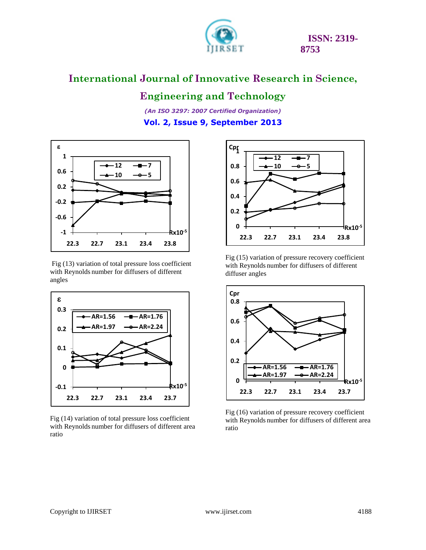

### **Engineering and Technology**

*(An ISO 3297: 2007 Certified Organization)* **Vol. 2, Issue 9, September 2013**



Fig (13) variation of total pressure loss coefficient with Reynolds number for diffusers of different angles



Fig (14) variation of total pressure loss coefficient with Reynolds number for diffusers of different area ratio



Fig (15) variation of pressure recovery coefficient with Reynolds number for diffusers of different diffuser angles



Fig (16) variation of pressure recovery coefficient with Reynolds number for diffusers of different area ratio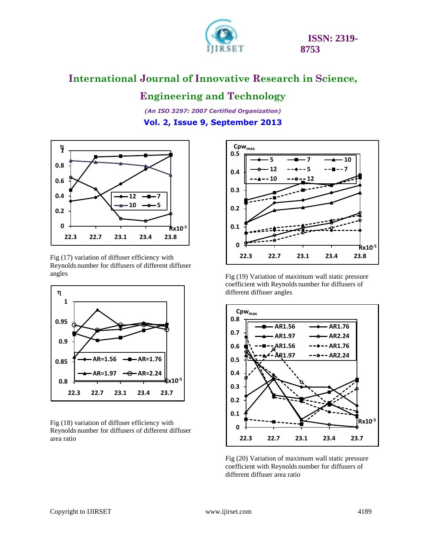

## **Engineering and Technology**

*(An ISO 3297: 2007 Certified Organization)* **Vol. 2, Issue 9, September 2013**



Fig (17) variation of diffuser efficiency with Reynolds number for diffusers of different diffuser angles



Fig (18) variation of diffuser efficiency with Reynolds number for diffusers of different diffuser area ratio



Fig (19) Variation of maximum wall static pressure coefficient with Reynolds number for diffusers of different diffuser angles



Fig (20) Variation of maximum wall static pressure coefficient with Reynolds number for diffusers of different diffuser area ratio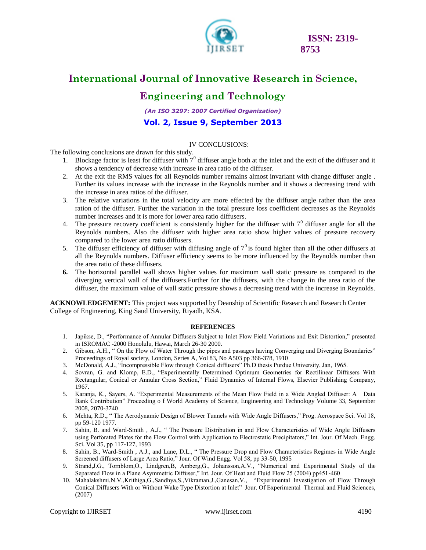![](_page_12_Picture_0.jpeg)

## **Engineering and Technology**

*(An ISO 3297: 2007 Certified Organization)*

#### **Vol. 2, Issue 9, September 2013**

#### IV CONCLUSIONS:

The following conclusions are drawn for this study.

- 1. Blockage factor is least for diffuser with  $7^0$  diffuser angle both at the inlet and the exit of the diffuser and it shows a tendency of decrease with increase in area ratio of the diffuser.
- 2. At the exit the RMS values for all Reynolds number remains almost invariant with change diffuser angle . Further its values increase with the increase in the Reynolds number and it shows a decreasing trend with the increase in area ratios of the diffuser.
- 3. The relative variations in the total velocity are more effected by the diffuser angle rather than the area ration of the diffuser. Further the variation in the total pressure loss coefficient decreases as the Reynolds number increases and it is more for lower area ratio diffusers.
- 4. The pressure recovery coefficient is consistently higher for the diffuser with  $7<sup>0</sup>$  diffuser angle for all the Reynolds numbers. Also the diffuser with higher area ratio show higher values of pressure recovery compared to the lower area ratio diffusers.
- 5. The diffuser efficiency of diffuser with diffusing angle of  $7<sup>0</sup>$  is found higher than all the other diffusers at all the Reynolds numbers. Diffuser efficiency seems to be more influenced by the Reynolds number than the area ratio of these diffusers.
- **6.** The horizontal parallel wall shows higher values for maximum wall static pressure as compared to the diverging vertical wall of the diffusers.Further for the diffusers, with the change in the area ratio of the diffuser, the maximum value of wall static pressure shows a decreasing trend with the increase in Reynolds.

**ACKNOWLEDGEMENT:** This project was supported by Deanship of Scientific Research and Research Center College of Engineering, King Saud University, Riyadh, KSA.

#### **REFERENCES**

- 1. Japikse, D., "Performance of Annular Diffusers Subject to Inlet Flow Field Variations and Exit Distortion," presented in ISROMAC -2000 Honolulu, Hawai, March 26-30 2000.
- 2. Gibson, A.H., " On the Flow of Water Through the pipes and passages having Converging and Diverging Boundaries" Proceedings of Royal society, London, Series A, Vol 83, No A503 pp 366-378, 1910
- 3. McDonald, A.J., "Incompressible Flow through Conical diffusers" Ph.D thesis Purdue University, Jan, 1965.
- 4. Sovran, G. and Klomp, E.D., "Experimentally Determined Optimum Geometries for Rectilinear Diffusers With Rectangular, Conical or Annular Cross Section," Fluid Dynamics of Internal Flows, Elsevier Publishing Company, 1967.
- 5. Karanja, K., Sayers, A. "Experimental Measurements of the Mean Flow Field in a Wide Angled Diffuser: A Data Bank Contribution" Proceeding o f World Academy of Science, Engineering and Technology Volume 33, September 2008, 2070-3740
- 6. Mehta, R.D., " The Aerodynamic Design of Blower Tunnels with Wide Angle Diffusers," Prog. Aerospace Sci. Vol 18, pp 59-120 1977.
- 7. Sahin, B. and Ward-Smith , A.J., " The Pressure Distribution in and Flow Characteristics of Wide Angle Diffusers using Perforated Plates for the Flow Control with Application to Electrostatic Precipitators," Int. Jour. Of Mech. Engg. Sci. Vol 35, pp 117-127, 1993
- 8. Sahin, B., Ward-Smith , A.J., and Lane, D.L., " The Pressure Drop and Flow Characteristics Regimes in Wide Angle Screened diffusers of Large Area Ratio," Jour. Of Wind Engg. Vol 58, pp 33-50, 1995
- 9. Strand,J.G., Tornblom,O., Lindgren,B, Amberg,G., Johansson,A.V., "Numerical and Experimental Study of the Separated Flow in a Plane Asymmetric Diffuser," Int. Jour. Of Heat and Fluid Flow 25 (2004) pp451-460
- 10. Mahalakshmi,N.V.,Krithiga,G.,Sandhya,S.,Vikraman,J.,Ganesan,V., "Experimental Investigation of Flow Through Conical Diffusers With or Without Wake Type Distortion at Inlet" Jour. Of Experimental Thermal and Fluid Sciences, (2007)